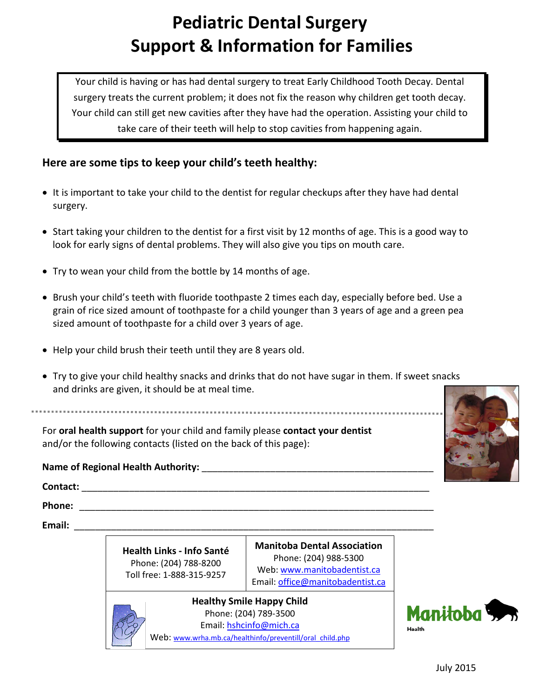# **Pediatric Dental Surgery Support & Information for Families**

Your child is having or has had dental surgery to treat Early Childhood Tooth Decay. Dental surgery treats the current problem; it does not fix the reason why children get tooth decay. Your child can still get new cavities after they have had the operation. Assisting your child to take care of their teeth will help to stop cavities from happening again.

## **Here are some tips to keep your child's teeth healthy:**

- It is important to take your child to the dentist for regular checkups after they have had dental surgery.
- Start taking your children to the dentist for a first visit by 12 months of age. This is a good way to look for early signs of dental problems. They will also give you tips on mouth care.
- Try to wean your child from the bottle by 14 months of age.
- Brush your child's teeth with fluoride toothpaste 2 times each day, especially before bed. Use a grain of rice sized amount of toothpaste for a child younger than 3 years of age and a green pea sized amount of toothpaste for a child over 3 years of age.
- Help your child brush their teeth until they are 8 years old.
- Try to give your child healthy snacks and drinks that do not have sugar in them. If sweet snacks and drinks are given, it should be at meal time.

For **oral health support** for your child and family please **contact your dentist** and/or the following contacts (listed on the back of this page):

#### **Name of Regional Health Authority:** \_\_\_\_\_\_\_\_\_\_\_\_\_\_\_\_\_\_\_\_\_\_\_\_\_\_\_\_\_\_\_\_\_\_\_\_\_\_\_\_\_\_\_\_

**Contact:** \_\_\_\_\_\_\_\_\_\_\_\_\_\_\_\_\_\_\_\_\_\_\_\_\_\_\_\_\_\_\_\_\_\_\_\_\_\_\_\_\_\_\_\_\_\_\_\_\_\_\_\_\_\_\_\_\_\_\_\_\_\_\_\_\_\_

**Phone:** \_\_\_\_\_\_\_\_\_\_\_\_\_\_\_\_\_\_\_\_\_\_\_\_\_\_\_\_\_\_\_\_\_\_\_\_\_\_\_\_\_\_\_\_\_\_\_\_\_\_\_\_\_\_\_\_\_\_\_\_\_\_\_\_\_\_\_

**Email:** \_\_\_\_\_\_\_\_\_\_\_\_\_\_\_\_\_\_\_\_\_\_\_\_\_\_\_\_\_\_\_\_\_\_\_\_\_\_\_\_\_\_\_\_\_\_\_\_\_\_\_\_\_\_\_\_\_\_\_\_\_\_\_\_\_\_\_\_

**Health Links - Info Santé** Phone: (204) 788-8200 Toll free: 1-888-315-9257

**Manitoba Dental Association** Phone: (204) 988-5300 Web: [www.manitobadentist.ca](http://www.manitobadentist.ca/) Email[: office@manitobadentist.ca](mailto:office@manitobadentist.ca)

**Healthy Smile Happy Child** Phone: (204) 789-3500 Email: [hshcinfo@mich.ca](mailto:hshcinfo@mich.ca) Web: www.wrha.mb.ca/healthinfo/preventill/oral\_child.php